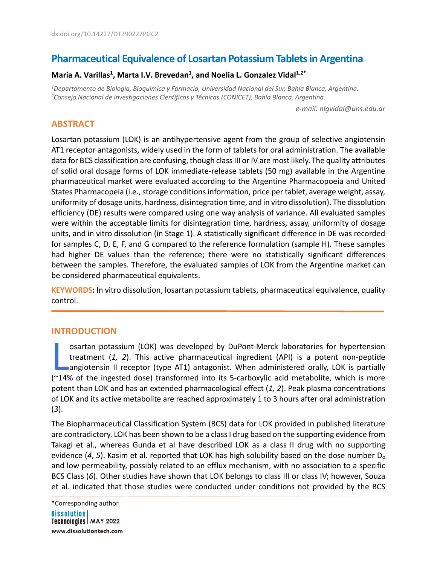# **Pharmaceutical Equivalence of Losartan Potassium Tablets in Argentina**

# María A. Varillas<sup>1</sup>, Marta I.V. Brevedan<sup>1</sup>, and Noelia L. Gonzalez Vidal<sup>1,2\*</sup>

*1 Departamento de Biología, Bioquímica y Farmacia, Universidad Nacional del Sur, Bahía Blanca, Argentina. 2 Consejo Nacional de Investigaciones Científicas y Técnicas (CONICET), Bahía Blanca, Argentina.* 

*e-mail: nlgvidal@uns.edu.ar*

# **ABSTRACT**

Losartan potassium (LOK) is an antihypertensive agent from the group of selective angiotensin AT1 receptor antagonists, widely used in the form of tablets for oral administration. The available data for BCS classification are confusing, though class III or IV are most likely. The quality attributes of solid oral dosage forms of LOK immediate-release tablets (50 mg) available in the Argentine pharmaceutical market were evaluated according to the Argentine Pharmacopoeia and United States Pharmacopeia (i.e., storage conditions information, price per tablet, average weight, assay, uniformity of dosage units, hardness, disintegration time, and in vitro dissolution). The dissolution efficiency (DE) results were compared using one way analysis of variance. All evaluated samples were within the acceptable limits for disintegration time, hardness, assay, uniformity of dosage units, and in vitro dissolution (in Stage 1). A statistically significant difference in DE was recorded for samples C, D, E, F, and G compared to the reference formulation (sample H). These samples had higher DE values than the reference; there were no statistically significant differences between the samples. Therefore, the evaluated samples of LOK from the Argentine market can be considered pharmaceutical equivalents.

**KEYWORDS:** In vitro dissolution, losartan potassium tablets, pharmaceutical equivalence, quality control.

### **INTRODUCTION**

osartan potassium (LOK) was developed by DuPont-Merck laboratories for hypertension treatment (*1, 2*). This active pharmaceutical ingredient (API) is a potent non-peptide angiotensin II receptor (type AT1) antagonist. When administered orally, LOK is partially osartan potassium (LOK) was developed by DuPont-Merck laboratories for hypertension<br>treatment (1, 2). This active pharmaceutical ingredient (API) is a potent non-peptide<br>angiotensin II receptor (type AT1) antagonist. When potent than LOK and has an extended pharmacological effect (*1, 2*). Peak plasma concentrations of LOK and its active metabolite are reached approximately 1 to 3 hours after oral administration (*3*).

The Biopharmaceutical Classification System (BCS) data for LOK provided in published literature are contradictory. LOK has been shown to be a class I drug based on the supporting evidence from Takagi et al., whereas Gunda et al have described LOK as a class II drug with no supporting evidence (4, 5). Kasim et al. reported that LOK has high solubility based on the dose number D<sub>o</sub> and low permeability, possibly related to an efflux mechanism, with no association to a specific BCS Class (*6*). Other studies have shown that LOK belongs to class III or class IV; however, Souza et al. indicated that those studies were conducted under conditions not provided by the BCS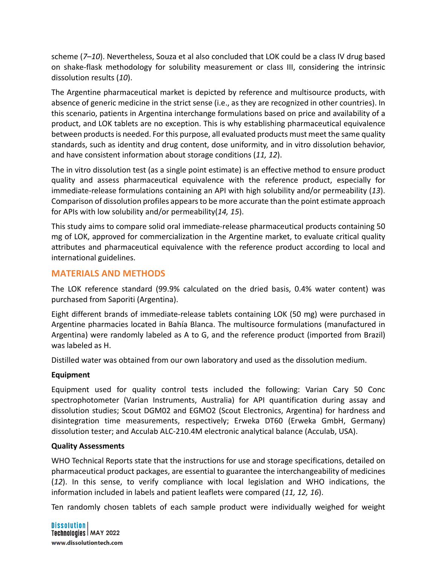scheme (*7*–*10*). Nevertheless, Souza et al also concluded that LOK could be a class IV drug based on shake-flask methodology for solubility measurement or class III, considering the intrinsic dissolution results (*10*).

The Argentine pharmaceutical market is depicted by reference and multisource products, with absence of generic medicine in the strict sense (i.e., as they are recognized in other countries). In this scenario, patients in Argentina interchange formulations based on price and availability of a product, and LOK tablets are no exception. This is why establishing pharmaceutical equivalence between products is needed. For this purpose, all evaluated products must meet the same quality standards, such as identity and drug content, dose uniformity, and in vitro dissolution behavior, and have consistent information about storage conditions (*11, 12*).

The in vitro dissolution test (as a single point estimate) is an effective method to ensure product quality and assess pharmaceutical equivalence with the reference product, especially for immediate-release formulations containing an API with high solubility and/or permeability (*13*). Comparison of dissolution profiles appears to be more accurate than the point estimate approach for APIs with low solubility and/or permeability(*14, 15*).

This study aims to compare solid oral immediate-release pharmaceutical products containing 50 mg of LOK, approved for commercialization in the Argentine market, to evaluate critical quality attributes and pharmaceutical equivalence with the reference product according to local and international guidelines.

# **MATERIALS AND METHODS**

The LOK reference standard (99.9% calculated on the dried basis, 0.4% water content) was purchased from Saporiti (Argentina).

Eight different brands of immediate-release tablets containing LOK (50 mg) were purchased in Argentine pharmacies located in Bahía Blanca. The multisource formulations (manufactured in Argentina) were randomly labeled as A to G, and the reference product (imported from Brazil) was labeled as H.

Distilled water was obtained from our own laboratory and used as the dissolution medium.

# **Equipment**

Equipment used for quality control tests included the following: Varian Cary 50 Conc spectrophotometer (Varian Instruments, Australia) for API quantification during assay and dissolution studies; Scout DGM02 and EGMO2 (Scout Electronics, Argentina) for hardness and disintegration time measurements, respectively; Erweka DT60 (Erweka GmbH, Germany) dissolution tester; and Acculab ALC-210.4M electronic analytical balance (Acculab, USA).

### **Quality Assessments**

WHO Technical Reports state that the instructions for use and storage specifications, detailed on pharmaceutical product packages, are essential to guarantee the interchangeability of medicines (*12*). In this sense, to verify compliance with local legislation and WHO indications, the information included in labels and patient leaflets were compared (*11, 12, 16*).

Ten randomly chosen tablets of each sample product were individually weighed for weight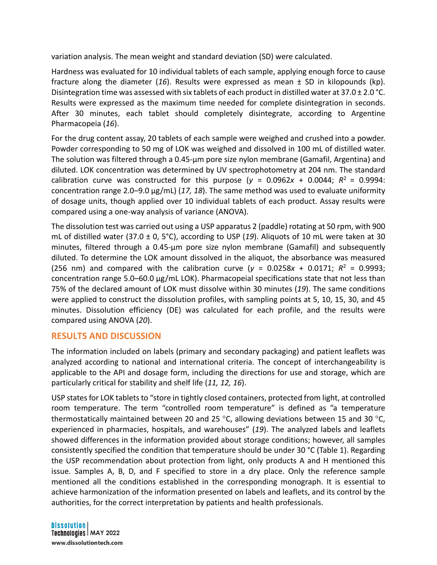variation analysis. The mean weight and standard deviation (SD) were calculated.

Hardness was evaluated for 10 individual tablets of each sample, applying enough force to cause fracture along the diameter (*16*). Results were expressed as mean ± SD in kilopounds (kp). Disintegration time was assessed with six tablets of each product in distilled water at 37.0  $\pm$  2.0 °C. Results were expressed as the maximum time needed for complete disintegration in seconds. After 30 minutes, each tablet should completely disintegrate, according to Argentine Pharmacopeia (*16*).

For the drug content assay, 20 tablets of each sample were weighed and crushed into a powder. Powder corresponding to 50 mg of LOK was weighed and dissolved in 100 mL of distilled water. The solution was filtered through a 0.45-µm pore size nylon membrane (Gamafil, Argentina) and diluted. LOK concentration was determined by UV spectrophotometry at 204 nm. The standard calibration curve was constructed for this purpose ( $y = 0.0962x + 0.0044$ ;  $R^2 = 0.9994$ : concentration range 2.0–9.0 μg/mL) (*17, 18*). The same method was used to evaluate uniformity of dosage units, though applied over 10 individual tablets of each product. Assay results were compared using a one-way analysis of variance (ANOVA).

The dissolution test was carried out using a USP apparatus 2 (paddle) rotating at 50 rpm, with 900 mL of distilled water (37.0 ± 0, 5°C), according to USP (*19*). Aliquots of 10 mL were taken at 30 minutes, filtered through a 0.45-µm pore size nylon membrane (Gamafil) and subsequently diluted. To determine the LOK amount dissolved in the aliquot, the absorbance was measured (256 nm) and compared with the calibration curve ( $y = 0.0258x + 0.0171$ ;  $R^2 = 0.9993$ ; concentration range 5.0–60.0 µg/mL LOK). Pharmacopeial specifications state that not less than 75% of the declared amount of LOK must dissolve within 30 minutes (*19*). The same conditions were applied to construct the dissolution profiles, with sampling points at 5, 10, 15, 30, and 45 minutes. Dissolution efficiency (DE) was calculated for each profile, and the results were compared using ANOVA (*20*).

### **RESULTS AND DISCUSSION**

The information included on labels (primary and secondary packaging) and patient leaflets was analyzed according to national and international criteria. The concept of interchangeability is applicable to the API and dosage form, including the directions for use and storage, which are particularly critical for stability and shelf life (*11, 12, 16*).

USP states for LOK tablets to "store in tightly closed containers, protected from light, at controlled room temperature. The term "controlled room temperature" is defined as "a temperature thermostatically maintained between 20 and 25  $\degree$ C, allowing deviations between 15 and 30  $\degree$ C, experienced in pharmacies, hospitals, and warehouses" (*19*). The analyzed labels and leaflets showed differences in the information provided about storage conditions; however, all samples consistently specified the condition that temperature should be under 30 °C (Table 1). Regarding the USP recommendation about protection from light, only products A and H mentioned this issue. Samples A, B, D, and F specified to store in a dry place. Only the reference sample mentioned all the conditions established in the corresponding monograph. It is essential to achieve harmonization of the information presented on labels and leaflets, and its control by the authorities, for the correct interpretation by patients and health professionals.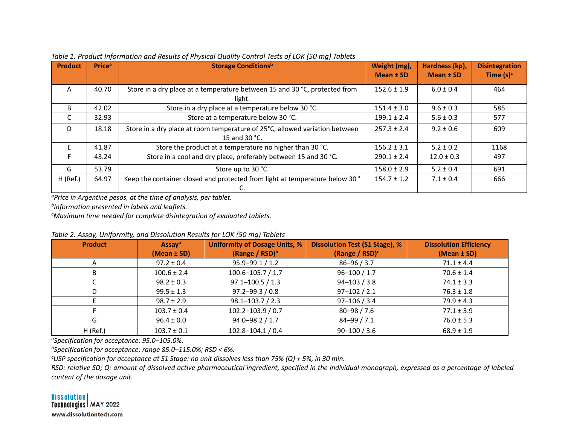| <b>Product</b> | <b>Price</b> <sup>a</sup> | <b>Storage Conditionsb</b>                                                                   | Weight (mg),<br>Mean ± SD | Hardness (kp),<br>Mean ± SD | <b>Disintegration</b><br>Time $(s)^c$ |
|----------------|---------------------------|----------------------------------------------------------------------------------------------|---------------------------|-----------------------------|---------------------------------------|
| A              | 40.70                     | Store in a dry place at a temperature between 15 and 30 °C, protected from<br>light.         | $152.6 \pm 1.9$           | $6.0 \pm 0.4$               | 464                                   |
| B.             | 42.02                     | Store in a dry place at a temperature below 30 °C.                                           | $151.4 \pm 3.0$           | $9.6 \pm 0.3$               | 585                                   |
|                | 32.93                     | Store at a temperature below 30 °C.                                                          | $199.1 \pm 2.4$           | $5.6 \pm 0.3$               | 577                                   |
| D              | 18.18                     | Store in a dry place at room temperature of 25°C, allowed variation between<br>15 and 30 °C. | $257.3 \pm 2.4$           | $9.2 \pm 0.6$               | 609                                   |
|                | 41.87                     | Store the product at a temperature no higher than 30 °C.                                     | $156.2 \pm 3.1$           | $5.2 \pm 0.2$               | 1168                                  |
|                | 43.24                     | Store in a cool and dry place, preferably between 15 and 30 °C.                              | $290.1 \pm 2.4$           | $12.0 \pm 0.3$              | 497                                   |
| G              | 53.79                     | Store up to 30 °C.                                                                           | $158.0 \pm 2.9$           | $5.2 \pm 0.4$               | 691                                   |
| H (Ref.)       | 64.97                     | Keep the container closed and protected from light at temperature below 30°                  | $154.7 \pm 1.2$           | $7.1 \pm 0.4$               | 666                                   |

*Table 1. Product Information and Results of Physical Quality Control Tests of LOK (50 mg) Tablets*

*aPrice in Argentine pesos, at the time of analysis, per tablet.* 

*bInformation presented in labels and leaflets.*

*c Maximum time needed for complete disintegration of evaluated tablets.*

| <b>Product</b> | Assay <sup>a</sup><br>$(Mean \pm SD)$ | <b>Uniformity of Dosage Units, %</b><br>(Range / $RSD$ ) <sup>b</sup> | <b>Dissolution Test (S1 Stage), %</b><br>(Range / $RSD$ ) <sup>c</sup> | <b>Dissolution Efficiency</b><br>(Mean ± SD) |
|----------------|---------------------------------------|-----------------------------------------------------------------------|------------------------------------------------------------------------|----------------------------------------------|
| A              | $97.2 \pm 0.4$                        | $95.9 - 99.1 / 1.2$                                                   | $86 - 96 / 3.7$                                                        | $71.1 \pm 4.4$                               |
| в              | $100.6 \pm 2.4$                       | $100.6 - 105.7 / 1.7$                                                 | $96 - 100 / 1.7$                                                       | $70.6 \pm 1.4$                               |
|                | $98.2 \pm 0.3$                        | $97.1 - 100.5 / 1.3$                                                  | $94 - 103 / 3.8$                                                       | $74.1 \pm 3.3$                               |
|                | $99.5 \pm 1.3$                        | $97.2 - 99.3 / 0.8$                                                   | $97 - 102 / 2.1$                                                       | $76.3 \pm 1.8$                               |
|                | $98.7 \pm 2.9$                        | $98.1 - 103.7 / 2.3$                                                  | $97 - 106 / 3.4$                                                       | $79.9 \pm 4.3$                               |
|                | $103.7 \pm 0.4$                       | 102.2-103.9 / 0.7                                                     | $80 - 98 / 7.6$                                                        | $77.1 \pm 3.9$                               |
| G              | $96.4 \pm 0.0$                        | $94.0 - 98.2 / 1.7$                                                   | $84 - 99 / 7.1$                                                        | $76.0 \pm 5.3$                               |
| $H$ (Ref.)     | $103.7 \pm 0.1$                       | 102.8-104.1 / 0.4                                                     | $90 - 100 / 3.6$                                                       | $68.9 \pm 1.9$                               |

*Table 2. Assay, Uniformity, and Dissolution Results for LOK (50 mg) Tablets*

*aSpecification for acceptance: 95.0–105.0%.* 

*bSpecification for acceptance: range 85.0–115.0%; RSD < 6%.* 

*USP specification for acceptance at S1 Stage: no unit dissolves less than 75% (Q) + 5%, in 30 min.* 

*RSD: relative SD; Q: amount of dissolved active pharmaceutical ingredient, specified in the individual monograph, expressed as a percentage of labeled content of the dosage unit.*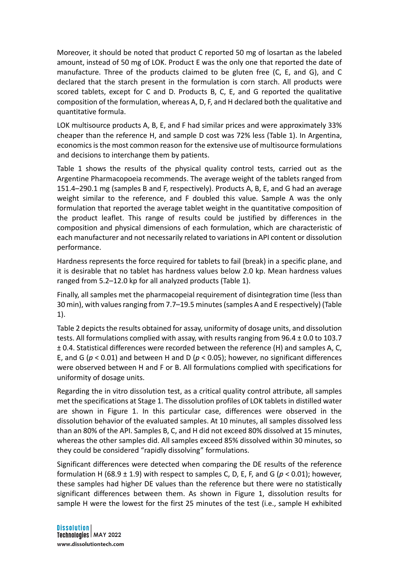Moreover, it should be noted that product C reported 50 mg of losartan as the labeled amount, instead of 50 mg of LOK. Product E was the only one that reported the date of manufacture. Three of the products claimed to be gluten free (C, E, and G), and C declared that the starch present in the formulation is corn starch. All products were scored tablets, except for C and D. Products B, C, E, and G reported the qualitative composition of the formulation, whereas A, D, F, and H declared both the qualitative and quantitative formula.

LOK multisource products A, B, E, and F had similar prices and were approximately 33% cheaper than the reference H, and sample D cost was 72% less (Table 1). In Argentina, economics is the most common reason for the extensive use of multisource formulations and decisions to interchange them by patients.

Table 1 shows the results of the physical quality control tests, carried out as the Argentine Pharmacopoeia recommends. The average weight of the tablets ranged from 151.4–290.1 mg (samples B and F, respectively). Products A, B, E, and G had an average weight similar to the reference, and F doubled this value. Sample A was the only formulation that reported the average tablet weight in the quantitative composition of the product leaflet. This range of results could be justified by differences in the composition and physical dimensions of each formulation, which are characteristic of each manufacturer and not necessarily related to variations in API content or dissolution performance.

Hardness represents the force required for tablets to fail (break) in a specific plane, and it is desirable that no tablet has hardness values below 2.0 kp. Mean hardness values ranged from 5.2–12.0 kp for all analyzed products (Table 1).

Finally, all samples met the pharmacopeial requirement of disintegration time (less than 30 min), with values ranging from 7.7–19.5 minutes(samples A and E respectively) (Table 1).

Table 2 depicts the results obtained for assay, uniformity of dosage units, and dissolution tests. All formulations complied with assay, with results ranging from 96.4 ± 0.0 to 103.7 ± 0.4. Statistical differences were recorded between the reference (H) and samples A, C, E, and G ( $p < 0.01$ ) and between H and D ( $p < 0.05$ ); however, no significant differences were observed between H and F or B. All formulations complied with specifications for uniformity of dosage units.

Regarding the in vitro dissolution test, as a critical quality control attribute, all samples met the specifications at Stage 1. The dissolution profiles of LOK tablets in distilled water are shown in Figure 1. In this particular case, differences were observed in the dissolution behavior of the evaluated samples. At 10 minutes, all samples dissolved less than an 80% of the API. Samples B, C, and H did not exceed 80% dissolved at 15 minutes, whereas the other samples did. All samples exceed 85% dissolved within 30 minutes, so they could be considered "rapidly dissolving" formulations.

Significant differences were detected when comparing the DE results of the reference formulation H (68.9  $\pm$  1.9) with respect to samples C, D, E, F, and G ( $p < 0.01$ ); however, these samples had higher DE values than the reference but there were no statistically significant differences between them. As shown in Figure 1, dissolution results for sample H were the lowest for the first 25 minutes of the test (i.e., sample H exhibited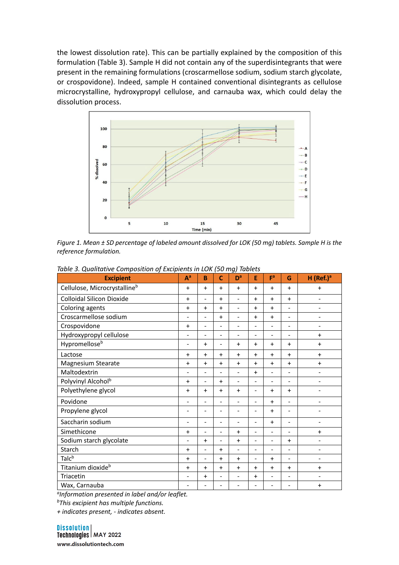the lowest dissolution rate). This can be partially explained by the composition of this formulation (Table 3). Sample H did not contain any of the superdisintegrants that were present in the remaining formulations (croscarmellose sodium, sodium starch glycolate, or crospovidone). Indeed, sample H contained conventional disintegrants as cellulose microcrystalline, hydroxypropyl cellulose, and carnauba wax, which could delay the dissolution process.



*Figure 1. Mean ± SD percentage of labeled amount dissolved for LOK (50 mg) tablets. Sample H is the reference formulation.*

| <b>Excipient</b>                 | $A^a$                        | B                        | $\mathbf{C}$             | D <sup>a</sup>           | E                            | Fa                       | G                        | $H$ (Ref.) <sup>a</sup>      |
|----------------------------------|------------------------------|--------------------------|--------------------------|--------------------------|------------------------------|--------------------------|--------------------------|------------------------------|
| Cellulose, Microcrystallineb     | $\ddot{}$                    | $+$                      | $+$                      | $\ddot{}$                | $+$                          | $+$                      | $+$                      | $\ddot{}$                    |
| <b>Colloidal Silicon Dioxide</b> |                              | $\overline{\phantom{0}}$ | $+$                      | $\overline{a}$           | $+$                          | $+$                      | $+$                      | $\blacksquare$               |
| Coloring agents                  | $\ddot{}$                    | $+$                      | $+$                      | $\blacksquare$           | $+$                          | $+$                      | $\blacksquare$           | $\overline{\phantom{0}}$     |
| Croscarmellose sodium            | $\overline{\phantom{a}}$     | -                        | $+$                      | $\blacksquare$           | $+$                          | $+$                      | $\blacksquare$           |                              |
| Crospovidone                     |                              |                          |                          | ÷                        | $\blacksquare$               | -                        | $\overline{\phantom{0}}$ | $\qquad \qquad$              |
| Hydroxypropyl cellulose          |                              |                          | ۰                        | $\blacksquare$           | $\blacksquare$               | $\blacksquare$           | $\overline{\phantom{a}}$ | $\ddot{}$                    |
| Hypromelloseb                    |                              | $+$                      | ۰                        | $+$                      | $+$                          | $+$                      | $\ddot{}$                | $+$                          |
| Lactose                          | $\ddot{}$                    | $+$                      | $+$                      | $+$                      | $+$                          | $+$                      | $+$                      | $+$                          |
| <b>Magnesium Stearate</b>        | $\ddag$                      | $+$                      | $\ddot{}$                | $\ddot{}$                | $+$                          | $\ddot{}$                | $\ddot{}$                | $+$                          |
| Maltodextrin                     | $\qquad \qquad \blacksquare$ |                          |                          | $\blacksquare$           | $+$                          | $\overline{\phantom{0}}$ | $\overline{\phantom{a}}$ | $\overline{a}$               |
| Polyvinyl Alcohol <sup>b</sup>   |                              |                          | $+$                      | $\overline{\phantom{a}}$ | $\qquad \qquad \blacksquare$ | -                        | $\overline{\phantom{0}}$ | $\overline{\phantom{a}}$     |
| Polyethylene glycol              | $\ddot{}$                    | $\ddagger$               | $+$                      | $\ddot{}$                | $\qquad \qquad \blacksquare$ | $+$                      | $+$                      | $\qquad \qquad \blacksquare$ |
| Povidone                         | $\qquad \qquad \blacksquare$ |                          | ۰                        | $\overline{\phantom{a}}$ | ۰                            | $+$                      | $\blacksquare$           | $\qquad \qquad \blacksquare$ |
| Propylene glycol                 |                              | $\overline{\phantom{0}}$ | ۰                        | $\overline{\phantom{a}}$ | $\blacksquare$               | $+$                      | $\overline{\phantom{a}}$ |                              |
| Saccharin sodium                 | $\qquad \qquad \blacksquare$ | $\overline{\phantom{0}}$ | ۰                        | $\blacksquare$           | $\blacksquare$               | $+$                      | $\blacksquare$           | $\overline{\phantom{a}}$     |
| Simethicone                      |                              | $\overline{\phantom{0}}$ | $\overline{\phantom{0}}$ | $+$                      | $\blacksquare$               | $\blacksquare$           | $\blacksquare$           | $+$                          |
| Sodium starch glycolate          |                              | $+$                      | ÷                        | $+$                      | $\blacksquare$               | ÷,                       | $+$                      | $\overline{a}$               |
| Starch                           | $+$                          | $\overline{\phantom{0}}$ | $+$                      | $\blacksquare$           | $\blacksquare$               | $\overline{\phantom{0}}$ | $\overline{\phantom{a}}$ | $\overline{\phantom{0}}$     |
| Talc <sup>b</sup>                | $+$                          | $\overline{\phantom{0}}$ | $+$                      | $+$                      | $\blacksquare$               | $+$                      | $\overline{\phantom{a}}$ | $\overline{\phantom{a}}$     |
| Titanium dioxide <sup>b</sup>    |                              | $+$                      | $+$                      | $+$                      | $+$                          | $+$                      | $+$                      | $\ddot{}$                    |
| Triacetin                        |                              | $+$                      |                          | $\blacksquare$           | $+$                          | ۰                        | $\blacksquare$           | $\qquad \qquad \blacksquare$ |
| Wax, Carnauba                    | $\blacksquare$               |                          |                          | $\blacksquare$           | $\blacksquare$               | ۰                        |                          | $\ddot{}$                    |

*Table 3. Qualitative Composition of Excipients in LOK (50 mg) Tablets*

*aInformation presented in label and/or leaflet.*

*bThis excipient has multiple functions.* 

*+ indicates present, - indicates absent.*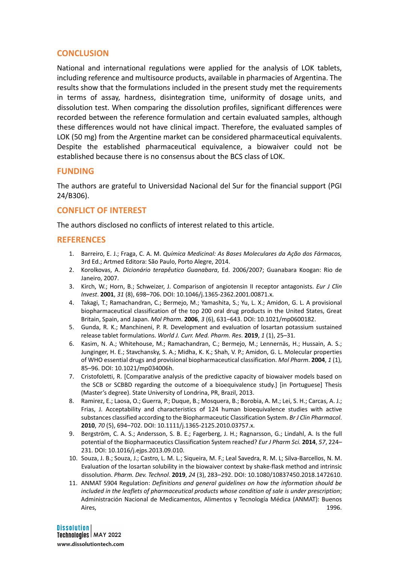# **CONCLUSION**

National and international regulations were applied for the analysis of LOK tablets, including reference and multisource products, available in pharmacies of Argentina. The results show that the formulations included in the present study met the requirements in terms of assay, hardness, disintegration time, uniformity of dosage units, and dissolution test. When comparing the dissolution profiles, significant differences were recorded between the reference formulation and certain evaluated samples, although these differences would not have clinical impact. Therefore, the evaluated samples of LOK (50 mg) from the Argentine market can be considered pharmaceutical equivalents. Despite the established pharmaceutical equivalence, a biowaiver could not be established because there is no consensus about the BCS class of LOK.

### **FUNDING**

The authors are grateful to Universidad Nacional del Sur for the financial support (PGI 24/B306).

### **CONFLICT OF INTEREST**

The authors disclosed no conflicts of interest related to this article.

### **REFERENCES**

- 1. Barreiro, E. J.; Fraga, C. A. M. *Química Medicinal: As Bases Moleculares da Ação dos Fármacos,* 3rd Ed.; Artmed Editora: São Paulo, Porto Alegre, 2014.
- 2. Korolkovas, A. *Dicionário terapêutico Guanabara*, Ed. 2006/2007; Guanabara Koogan: Rio de Janeiro, 2007.
- 3. Kirch, W.; Horn, B.; Schweizer, J. Comparison of angiotensin II receptor antagonists. *Eur J Clin Invest*. **2001**, *31* (8), 698–706. DOI: 10.1046/j.1365-2362.2001.00871.x.
- 4. Takagi, T.; Ramachandran, C.; Bermejo, M.; Yamashita, S.; Yu, L. X.; Amidon, G. L. A provisional biopharmaceutical classification of the top 200 oral drug products in the United States, Great Britain, Spain, and Japan. *Mol Pharm*. **2006**, *3* (6), 631–643. DOI: 10.1021/mp0600182.
- 5. Gunda, R. K.; Manchineni, P. R. Development and evaluation of losartan potassium sustained release tablet formulations. *World J. Curr. Med. Pharm. Res*. **2019**, *1* (1), 25–31.
- 6. Kasim, N. A.; Whitehouse, M.; Ramachandran, C.; Bermejo, M.; Lennernäs, H.; Hussain, A. S.; Junginger, H. E.; Stavchansky, S. A.; Midha, K. K.; Shah, V. P.; Amidon, G. L. Molecular properties of WHO essential drugs and provisional biopharmaceutical classification. *Mol Pharm*. **2004**, *1* (1), 85–96. DOI: 10.1021/mp034006h.
- 7. Cristofoletti, R. [Comparative analysis of the predictive capacity of biowaiver models based on the SCB or SCBBD regarding the outcome of a bioequivalence study.] [in Portuguese] Thesis (Master's degree). State University of Londrina, PR, Brazil, 2013.
- 8. Ramirez, E.; Laosa, O.; Guerra, P.; Duque, B.; Mosquera, B.; Borobia, A. M.; Lei, S. H.; Carcas, A. J.; Frias, J. Acceptability and characteristics of 124 human bioequivalence studies with active substances classified according to the Biopharmaceutic Classification System. *Br J Clin Pharmacol*. **2010**, *70* (5), 694–702. DOI: 10.1111/j.1365-2125.2010.03757.x.
- 9. Bergström, C. A. S.; Andersson, S. B. E.; Fagerberg, J. H.; Ragnarsson, G.; Lindahl, A. Is the full potential of the Biopharmaceutics Classification System reached? *Eur J Pharm Sci.* **2014**, *57*, 224– 231. DOI: 10.1016/j.ejps.2013.09.010.
- 10. Souza, J. B.; Souza, J.; Castro, L. M. L.; Siqueira, M. F.; Leal Savedra, R. M. L; Silva-Barcellos, N. M. Evaluation of the losartan solubility in the biowaiver context by shake-flask method and intrinsic dissolution. *Pharm. Dev. Technol*. **2019**, *24* (3), 283–292. DOI: 10.1080/10837450.2018.1472610.
- 11. ANMAT 5904 Regulation: *Definitions and general guidelines on how the information should be included in the leaflets of pharmaceutical products whose condition of sale is under prescription*; Administración Nacional de Medicamentos, Alimentos y Tecnología Médica (ANMAT): Buenos Aires, 1996.